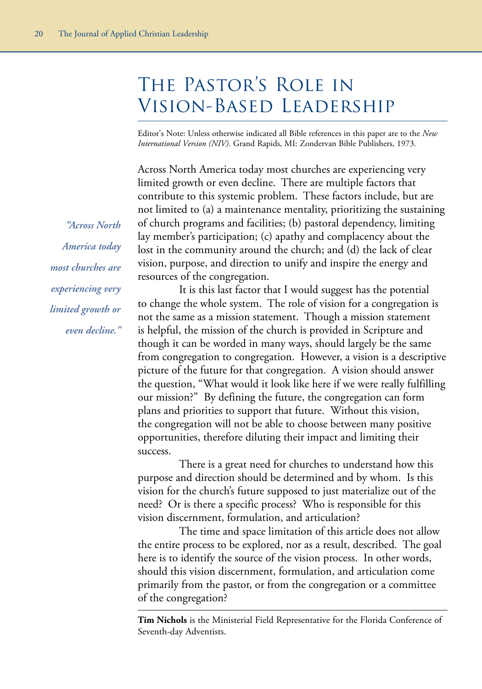# The Pastor's Role in Vision-Based Leadership

Editor's Note: Unless otherwise indicated all Bible references in this paper are to the *New International Version (NIV).* Grand Rapids, MI: Zondervan Bible Publishers, 1973.

Across North America today most churches are experiencing very limited growth or even decline. There are multiple factors that contribute to this systemic problem. These factors include, but are not limited to (a) a maintenance mentality, prioritizing the sustaining of church programs and facilities; (b) pastoral dependency, limiting lay member's participation; (c) apathy and complacency about the lost in the community around the church; and (d) the lack of clear vision, purpose, and direction to unify and inspire the energy and resources of the congregation.

It is this last factor that I would suggest has the potential to change the whole system. The role of vision for a congregation is not the same as a mission statement. Though a mission statement is helpful, the mission of the church is provided in Scripture and though it can be worded in many ways, should largely be the same from congregation to congregation. However, a vision is a descriptive picture of the future for that congregation. A vision should answer the question, "What would it look like here if we were really fulfilling our mission?" By defining the future, the congregation can form plans and priorities to support that future. Without this vision, the congregation will not be able to choose between many positive opportunities, therefore diluting their impact and limiting their success.

There is a great need for churches to understand how this purpose and direction should be determined and by whom. Is this vision for the church's future supposed to just materialize out of the need? Or is there a specific process? Who is responsible for this vision discernment, formulation, and articulation?

The time and space limitation of this article does not allow the entire process to be explored, nor as a result, described. The goal here is to identify the source of the vision process. In other words, should this vision discernment, formulation, and articulation come primarily from the pastor, or from the congregation or a committee of the congregation?

**Tim Nichols** is the Ministerial Field Representative for the Florida Conference of Seventh-day Adventists.

*"Across North America today most churches are experiencing very limited growth or even decline."*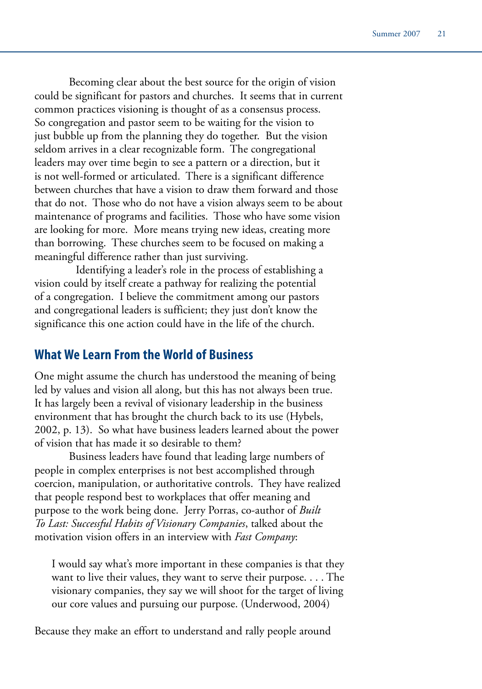Becoming clear about the best source for the origin of vision could be significant for pastors and churches. It seems that in current common practices visioning is thought of as a consensus process. So congregation and pastor seem to be waiting for the vision to just bubble up from the planning they do together. But the vision seldom arrives in a clear recognizable form. The congregational leaders may over time begin to see a pattern or a direction, but it is not well-formed or articulated. There is a significant difference between churches that have a vision to draw them forward and those that do not. Those who do not have a vision always seem to be about maintenance of programs and facilities. Those who have some vision are looking for more. More means trying new ideas, creating more than borrowing. These churches seem to be focused on making a meaningful difference rather than just surviving.

Identifying a leader's role in the process of establishing a vision could by itself create a pathway for realizing the potential of a congregation. I believe the commitment among our pastors and congregational leaders is sufficient; they just don't know the significance this one action could have in the life of the church.

#### **What We Learn From the World of Business**

One might assume the church has understood the meaning of being led by values and vision all along, but this has not always been true. It has largely been a revival of visionary leadership in the business environment that has brought the church back to its use (Hybels, 2002, p. 13). So what have business leaders learned about the power of vision that has made it so desirable to them?

Business leaders have found that leading large numbers of people in complex enterprises is not best accomplished through coercion, manipulation, or authoritative controls. They have realized that people respond best to workplaces that offer meaning and purpose to the work being done. Jerry Porras, co-author of *Built To Last: Successful Habits of Visionary Companies*, talked about the motivation vision offers in an interview with *Fast Company*:

I would say what's more important in these companies is that they want to live their values, they want to serve their purpose. . . . The visionary companies, they say we will shoot for the target of living our core values and pursuing our purpose. (Underwood, 2004)

Because they make an effort to understand and rally people around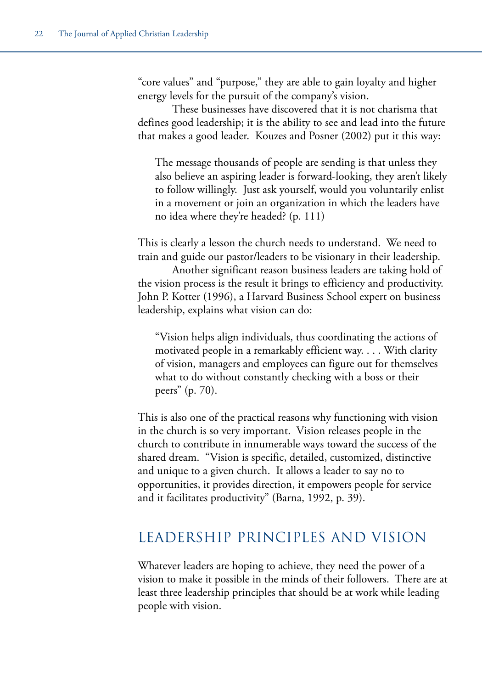"core values" and "purpose," they are able to gain loyalty and higher energy levels for the pursuit of the company's vision.

These businesses have discovered that it is not charisma that defines good leadership; it is the ability to see and lead into the future that makes a good leader. Kouzes and Posner (2002) put it this way:

The message thousands of people are sending is that unless they also believe an aspiring leader is forward-looking, they aren't likely to follow willingly. Just ask yourself, would you voluntarily enlist in a movement or join an organization in which the leaders have no idea where they're headed? (p. 111)

This is clearly a lesson the church needs to understand. We need to train and guide our pastor/leaders to be visionary in their leadership.

Another significant reason business leaders are taking hold of the vision process is the result it brings to efficiency and productivity. John P. Kotter (1996), a Harvard Business School expert on business leadership, explains what vision can do:

"Vision helps align individuals, thus coordinating the actions of motivated people in a remarkably efficient way. . . . With clarity of vision, managers and employees can figure out for themselves what to do without constantly checking with a boss or their peers" (p. 70).

This is also one of the practical reasons why functioning with vision in the church is so very important. Vision releases people in the church to contribute in innumerable ways toward the success of the shared dream. "Vision is specific, detailed, customized, distinctive and unique to a given church. It allows a leader to say no to opportunities, it provides direction, it empowers people for service and it facilitates productivity" (Barna, 1992, p. 39).

## LEADERSHIP PRINCIPLES AND VISION

Whatever leaders are hoping to achieve, they need the power of a vision to make it possible in the minds of their followers. There are at least three leadership principles that should be at work while leading people with vision.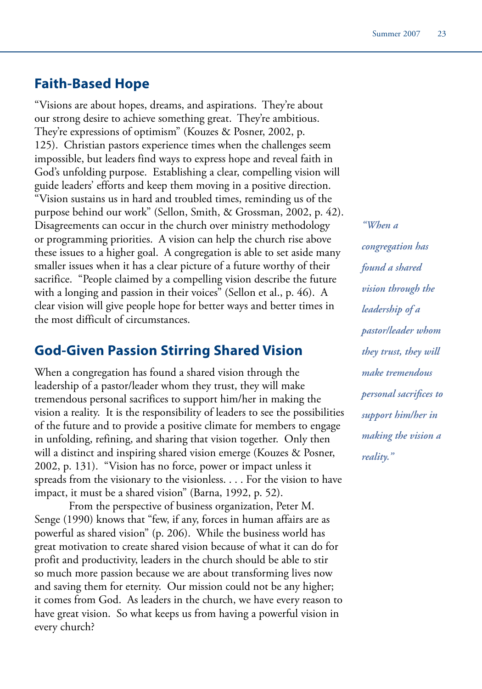## **Faith-Based Hope**

"Visions are about hopes, dreams, and aspirations. They're about our strong desire to achieve something great. They're ambitious. They're expressions of optimism" (Kouzes & Posner, 2002, p. 125). Christian pastors experience times when the challenges seem impossible, but leaders find ways to express hope and reveal faith in God's unfolding purpose. Establishing a clear, compelling vision will guide leaders' efforts and keep them moving in a positive direction. "Vision sustains us in hard and troubled times, reminding us of the purpose behind our work" (Sellon, Smith, & Grossman, 2002, p. 42). Disagreements can occur in the church over ministry methodology or programming priorities. A vision can help the church rise above these issues to a higher goal. A congregation is able to set aside many smaller issues when it has a clear picture of a future worthy of their sacrifice. "People claimed by a compelling vision describe the future with a longing and passion in their voices" (Sellon et al., p. 46). A clear vision will give people hope for better ways and better times in the most difficult of circumstances.

## **God-Given Passion Stirring Shared Vision**

When a congregation has found a shared vision through the leadership of a pastor/leader whom they trust, they will make tremendous personal sacrifices to support him/her in making the vision a reality. It is the responsibility of leaders to see the possibilities of the future and to provide a positive climate for members to engage in unfolding, refining, and sharing that vision together. Only then will a distinct and inspiring shared vision emerge (Kouzes & Posner, 2002, p. 131). "Vision has no force, power or impact unless it spreads from the visionary to the visionless. . . . For the vision to have impact, it must be a shared vision" (Barna, 1992, p. 52).

From the perspective of business organization, Peter M. Senge (1990) knows that "few, if any, forces in human affairs are as powerful as shared vision" (p. 206). While the business world has great motivation to create shared vision because of what it can do for profit and productivity, leaders in the church should be able to stir so much more passion because we are about transforming lives now and saving them for eternity. Our mission could not be any higher; it comes from God. As leaders in the church, we have every reason to have great vision. So what keeps us from having a powerful vision in every church?

*"When a congregation has found a shared vision through the leadership of a pastor/leader whom they trust, they will make tremendous personal sacrifices to support him/her in making the vision a reality."*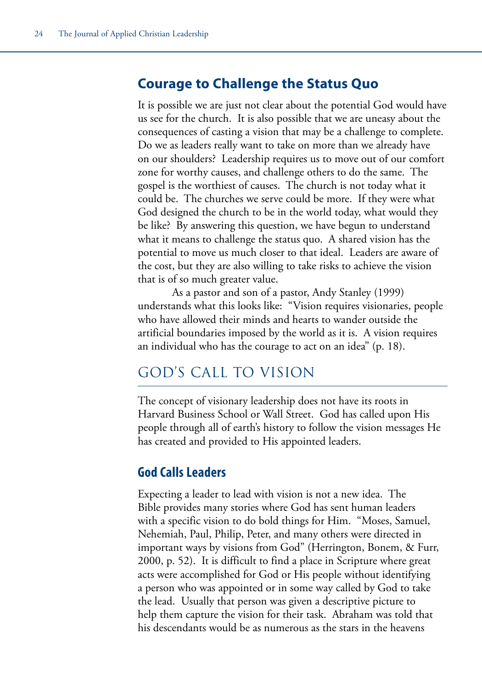## **Courage to Challenge the Status Quo**

It is possible we are just not clear about the potential God would have us see for the church. It is also possible that we are uneasy about the consequences of casting a vision that may be a challenge to complete. Do we as leaders really want to take on more than we already have on our shoulders? Leadership requires us to move out of our comfort zone for worthy causes, and challenge others to do the same. The gospel is the worthiest of causes. The church is not today what it could be. The churches we serve could be more. If they were what God designed the church to be in the world today, what would they be like? By answering this question, we have begun to understand what it means to challenge the status quo. A shared vision has the potential to move us much closer to that ideal. Leaders are aware of the cost, but they are also willing to take risks to achieve the vision that is of so much greater value.

As a pastor and son of a pastor, Andy Stanley (1999) understands what this looks like: "Vision requires visionaries, people who have allowed their minds and hearts to wander outside the artificial boundaries imposed by the world as it is. A vision requires an individual who has the courage to act on an idea" (p. 18).

# GOD'S CALL TO VISION

The concept of visionary leadership does not have its roots in Harvard Business School or Wall Street. God has called upon His people through all of earth's history to follow the vision messages He has created and provided to His appointed leaders.

## **God Calls Leaders**

Expecting a leader to lead with vision is not a new idea. The Bible provides many stories where God has sent human leaders with a specific vision to do bold things for Him. "Moses, Samuel, Nehemiah, Paul, Philip, Peter, and many others were directed in important ways by visions from God" (Herrington, Bonem, & Furr, 2000, p. 52). It is difficult to find a place in Scripture where great acts were accomplished for God or His people without identifying a person who was appointed or in some way called by God to take the lead. Usually that person was given a descriptive picture to help them capture the vision for their task. Abraham was told that his descendants would be as numerous as the stars in the heavens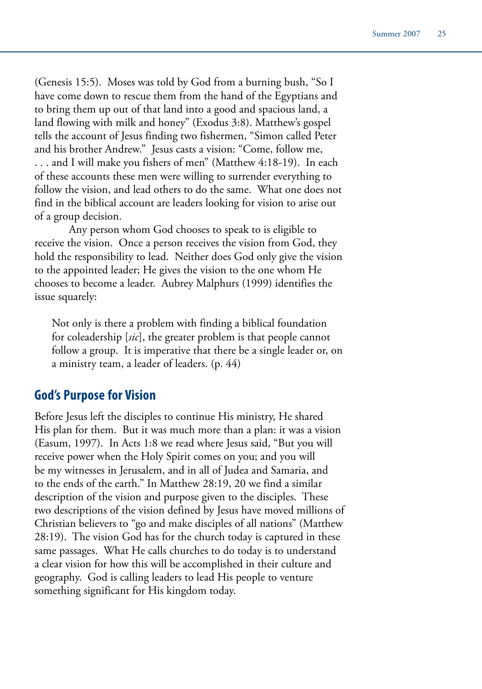(Genesis 15:5). Moses was told by God from a burning bush, "So I have come down to rescue them from the hand of the Egyptians and to bring them up out of that land into a good and spacious land, a land flowing with milk and honey" (Exodus 3:8). Matthew's gospel tells the account of Jesus finding two fishermen, "Simon called Peter and his brother Andrew." Jesus casts a vision: "Come, follow me, . . . and I will make you fishers of men" (Matthew 4:18-19). In each of these accounts these men were willing to surrender everything to follow the vision, and lead others to do the same. What one does not find in the biblical account are leaders looking for vision to arise out of a group decision.

Any person whom God chooses to speak to is eligible to receive the vision. Once a person receives the vision from God, they hold the responsibility to lead. Neither does God only give the vision to the appointed leader; He gives the vision to the one whom He chooses to become a leader. Aubrey Malphurs (1999) identifies the issue squarely:

Not only is there a problem with finding a biblical foundation for coleadership [*sic*], the greater problem is that people cannot follow a group. It is imperative that there be a single leader or, on a ministry team, a leader of leaders. (p. 44)

#### **God's Purpose for Vision**

Before Jesus left the disciples to continue His ministry, He shared His plan for them. But it was much more than a plan: it was a vision (Easum, 1997). In Acts 1:8 we read where Jesus said, "But you will receive power when the Holy Spirit comes on you; and you will be my witnesses in Jerusalem, and in all of Judea and Samaria, and to the ends of the earth." In Matthew 28:19, 20 we find a similar description of the vision and purpose given to the disciples. These two descriptions of the vision defined by Jesus have moved millions of Christian believers to "go and make disciples of all nations" (Matthew 28:19). The vision God has for the church today is captured in these same passages. What He calls churches to do today is to understand a clear vision for how this will be accomplished in their culture and geography. God is calling leaders to lead His people to venture something significant for His kingdom today.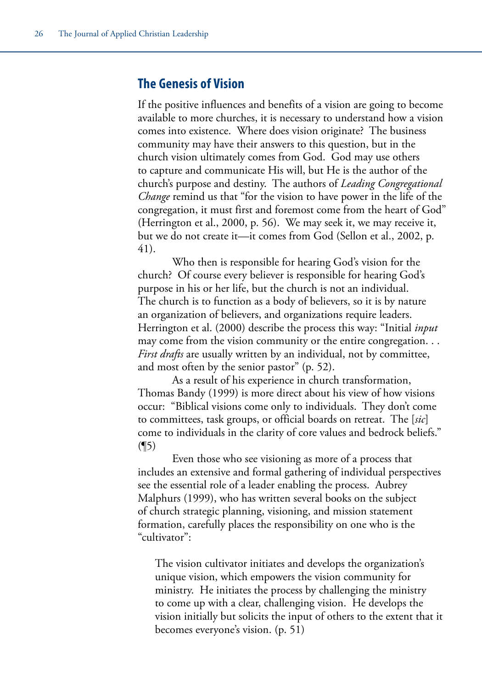#### **The Genesis of Vision**

If the positive influences and benefits of a vision are going to become available to more churches, it is necessary to understand how a vision comes into existence. Where does vision originate? The business community may have their answers to this question, but in the church vision ultimately comes from God. God may use others to capture and communicate His will, but He is the author of the church's purpose and destiny. The authors of *Leading Congregational Change* remind us that "for the vision to have power in the life of the congregation, it must first and foremost come from the heart of God" (Herrington et al., 2000, p. 56). We may seek it, we may receive it, but we do not create it—it comes from God (Sellon et al., 2002, p. 41).

Who then is responsible for hearing God's vision for the church? Of course every believer is responsible for hearing God's purpose in his or her life, but the church is not an individual. The church is to function as a body of believers, so it is by nature an organization of believers, and organizations require leaders. Herrington et al. (2000) describe the process this way: "Initial *input* may come from the vision community or the entire congregation. . . *First drafts* are usually written by an individual, not by committee, and most often by the senior pastor" (p. 52).

As a result of his experience in church transformation, Thomas Bandy (1999) is more direct about his view of how visions occur: "Biblical visions come only to individuals. They don't come to committees, task groups, or official boards on retreat. The [*sic*] come to individuals in the clarity of core values and bedrock beliefs."  $($ ¶5)

Even those who see visioning as more of a process that includes an extensive and formal gathering of individual perspectives see the essential role of a leader enabling the process. Aubrey Malphurs (1999), who has written several books on the subject of church strategic planning, visioning, and mission statement formation, carefully places the responsibility on one who is the "cultivator":

The vision cultivator initiates and develops the organization's unique vision, which empowers the vision community for ministry. He initiates the process by challenging the ministry to come up with a clear, challenging vision. He develops the vision initially but solicits the input of others to the extent that it becomes everyone's vision. (p. 51)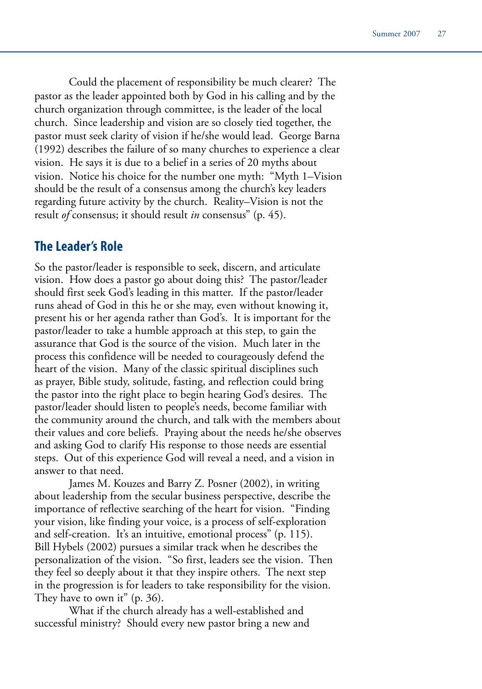Could the placement of responsibility be much clearer? The pastor as the leader appointed both by God in his calling and by the church organization through committee, is the leader of the local church. Since leadership and vision are so closely tied together, the pastor must seek clarity of vision if he/she would lead. George Barna (1992) describes the failure of so many churches to experience a clear vision. He says it is due to a belief in a series of 20 myths about vision. Notice his choice for the number one myth: "Myth 1–Vision should be the result of a consensus among the church's key leaders regarding future activity by the church. Reality–Vision is not the result *of* consensus; it should result *in* consensus" (p. 45).

#### **The Leader's Role**

So the pastor/leader is responsible to seek, discern, and articulate vision. How does a pastor go about doing this? The pastor/leader should first seek God's leading in this matter. If the pastor/leader runs ahead of God in this he or she may, even without knowing it, present his or her agenda rather than God's. It is important for the pastor/leader to take a humble approach at this step, to gain the assurance that God is the source of the vision. Much later in the process this confidence will be needed to courageously defend the heart of the vision. Many of the classic spiritual disciplines such as prayer, Bible study, solitude, fasting, and reflection could bring the pastor into the right place to begin hearing God's desires. The pastor/leader should listen to people's needs, become familiar with the community around the church, and talk with the members about their values and core beliefs. Praying about the needs he/she observes and asking God to clarify His response to those needs are essential steps. Out of this experience God will reveal a need, and a vision in answer to that need.

James M. Kouzes and Barry Z. Posner (2002), in writing about leadership from the secular business perspective, describe the importance of reflective searching of the heart for vision. "Finding your vision, like finding your voice, is a process of self-exploration and self-creation. It's an intuitive, emotional process" (p. 115). Bill Hybels (2002) pursues a similar track when he describes the personalization of the vision. "So first, leaders see the vision. Then they feel so deeply about it that they inspire others. The next step in the progression is for leaders to take responsibility for the vision. They have to own it" (p. 36).

What if the church already has a well-established and successful ministry? Should every new pastor bring a new and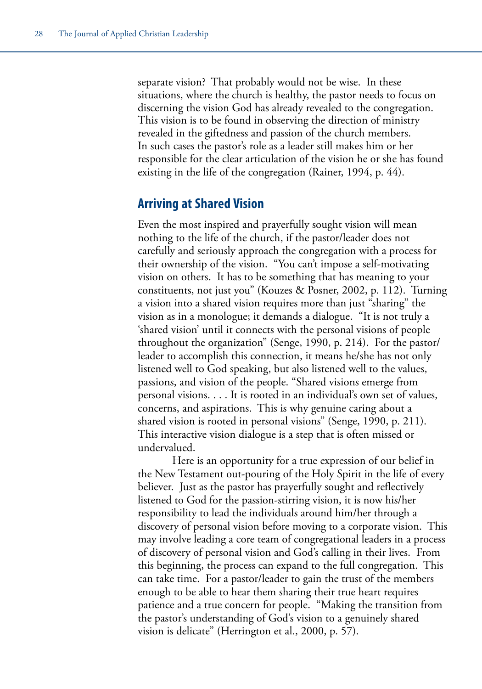separate vision? That probably would not be wise. In these situations, where the church is healthy, the pastor needs to focus on discerning the vision God has already revealed to the congregation. This vision is to be found in observing the direction of ministry revealed in the giftedness and passion of the church members. In such cases the pastor's role as a leader still makes him or her responsible for the clear articulation of the vision he or she has found existing in the life of the congregation (Rainer, 1994, p. 44).

#### **Arriving at Shared Vision**

Even the most inspired and prayerfully sought vision will mean nothing to the life of the church, if the pastor/leader does not carefully and seriously approach the congregation with a process for their ownership of the vision. "You can't impose a self-motivating vision on others. It has to be something that has meaning to your constituents, not just you" (Kouzes & Posner, 2002, p. 112). Turning a vision into a shared vision requires more than just "sharing" the vision as in a monologue; it demands a dialogue. "It is not truly a 'shared vision' until it connects with the personal visions of people throughout the organization" (Senge, 1990, p. 214). For the pastor/ leader to accomplish this connection, it means he/she has not only listened well to God speaking, but also listened well to the values, passions, and vision of the people. "Shared visions emerge from personal visions. . . . It is rooted in an individual's own set of values, concerns, and aspirations. This is why genuine caring about a shared vision is rooted in personal visions" (Senge, 1990, p. 211). This interactive vision dialogue is a step that is often missed or undervalued.

Here is an opportunity for a true expression of our belief in the New Testament out-pouring of the Holy Spirit in the life of every believer. Just as the pastor has prayerfully sought and reflectively listened to God for the passion-stirring vision, it is now his/her responsibility to lead the individuals around him/her through a discovery of personal vision before moving to a corporate vision. This may involve leading a core team of congregational leaders in a process of discovery of personal vision and God's calling in their lives. From this beginning, the process can expand to the full congregation. This can take time. For a pastor/leader to gain the trust of the members enough to be able to hear them sharing their true heart requires patience and a true concern for people. "Making the transition from the pastor's understanding of God's vision to a genuinely shared vision is delicate" (Herrington et al., 2000, p. 57).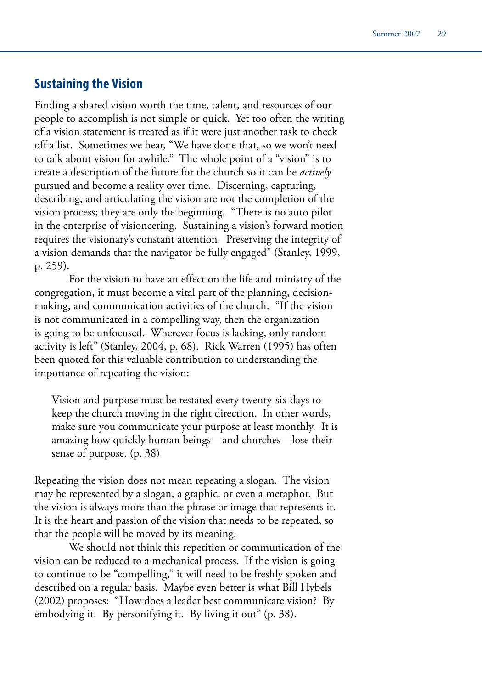### **Sustaining the Vision**

Finding a shared vision worth the time, talent, and resources of our people to accomplish is not simple or quick. Yet too often the writing of a vision statement is treated as if it were just another task to check off a list. Sometimes we hear, "We have done that, so we won't need to talk about vision for awhile." The whole point of a "vision" is to create a description of the future for the church so it can be *actively* pursued and become a reality over time. Discerning, capturing, describing, and articulating the vision are not the completion of the vision process; they are only the beginning. "There is no auto pilot in the enterprise of visioneering. Sustaining a vision's forward motion requires the visionary's constant attention. Preserving the integrity of a vision demands that the navigator be fully engaged" (Stanley, 1999, p. 259).

For the vision to have an effect on the life and ministry of the congregation, it must become a vital part of the planning, decisionmaking, and communication activities of the church. "If the vision is not communicated in a compelling way, then the organization is going to be unfocused. Wherever focus is lacking, only random activity is left" (Stanley, 2004, p. 68). Rick Warren (1995) has often been quoted for this valuable contribution to understanding the importance of repeating the vision:

Vision and purpose must be restated every twenty-six days to keep the church moving in the right direction. In other words, make sure you communicate your purpose at least monthly. It is amazing how quickly human beings—and churches—lose their sense of purpose. (p. 38)

Repeating the vision does not mean repeating a slogan. The vision may be represented by a slogan, a graphic, or even a metaphor. But the vision is always more than the phrase or image that represents it. It is the heart and passion of the vision that needs to be repeated, so that the people will be moved by its meaning.

We should not think this repetition or communication of the vision can be reduced to a mechanical process. If the vision is going to continue to be "compelling," it will need to be freshly spoken and described on a regular basis. Maybe even better is what Bill Hybels (2002) proposes: "How does a leader best communicate vision? By embodying it. By personifying it. By living it out" (p. 38).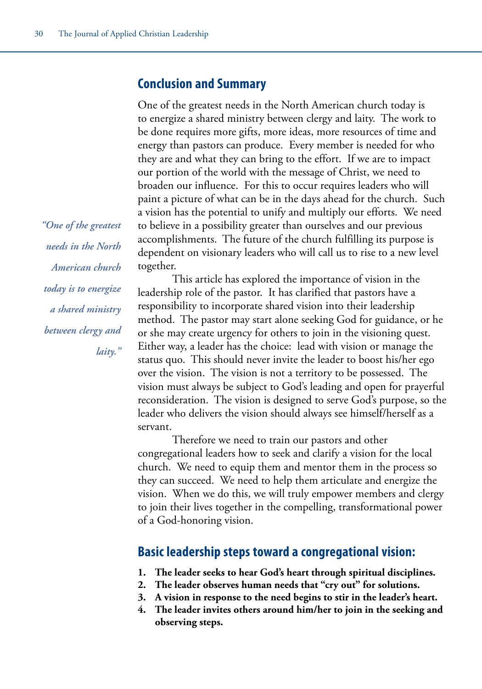#### **Conclusion and Summary**

One of the greatest needs in the North American church today is to energize a shared ministry between clergy and laity. The work to be done requires more gifts, more ideas, more resources of time and energy than pastors can produce. Every member is needed for who they are and what they can bring to the effort. If we are to impact our portion of the world with the message of Christ, we need to broaden our influence. For this to occur requires leaders who will paint a picture of what can be in the days ahead for the church. Such a vision has the potential to unify and multiply our efforts. We need to believe in a possibility greater than ourselves and our previous accomplishments. The future of the church fulfilling its purpose is dependent on visionary leaders who will call us to rise to a new level together.

This article has explored the importance of vision in the leadership role of the pastor. It has clarified that pastors have a responsibility to incorporate shared vision into their leadership method. The pastor may start alone seeking God for guidance, or he or she may create urgency for others to join in the visioning quest. Either way, a leader has the choice: lead with vision or manage the status quo. This should never invite the leader to boost his/her ego over the vision. The vision is not a territory to be possessed. The vision must always be subject to God's leading and open for prayerful reconsideration. The vision is designed to serve God's purpose, so the leader who delivers the vision should always see himself/herself as a servant.

Therefore we need to train our pastors and other congregational leaders how to seek and clarify a vision for the local church. We need to equip them and mentor them in the process so they can succeed. We need to help them articulate and energize the vision. When we do this, we will truly empower members and clergy to join their lives together in the compelling, transformational power of a God-honoring vision.

#### **Basic leadership steps toward a congregational vision:**

- **1. The leader seeks to hear God's heart through spiritual disciplines.**
- **2. The leader observes human needs that "cry out" for solutions.**
- **3. A vision in response to the need begins to stir in the leader's heart.**
- **4. The leader invites others around him/her to join in the seeking and observing steps.**

*"One of the greatest needs in the North American church today is to energize a shared ministry between clergy and laity."*